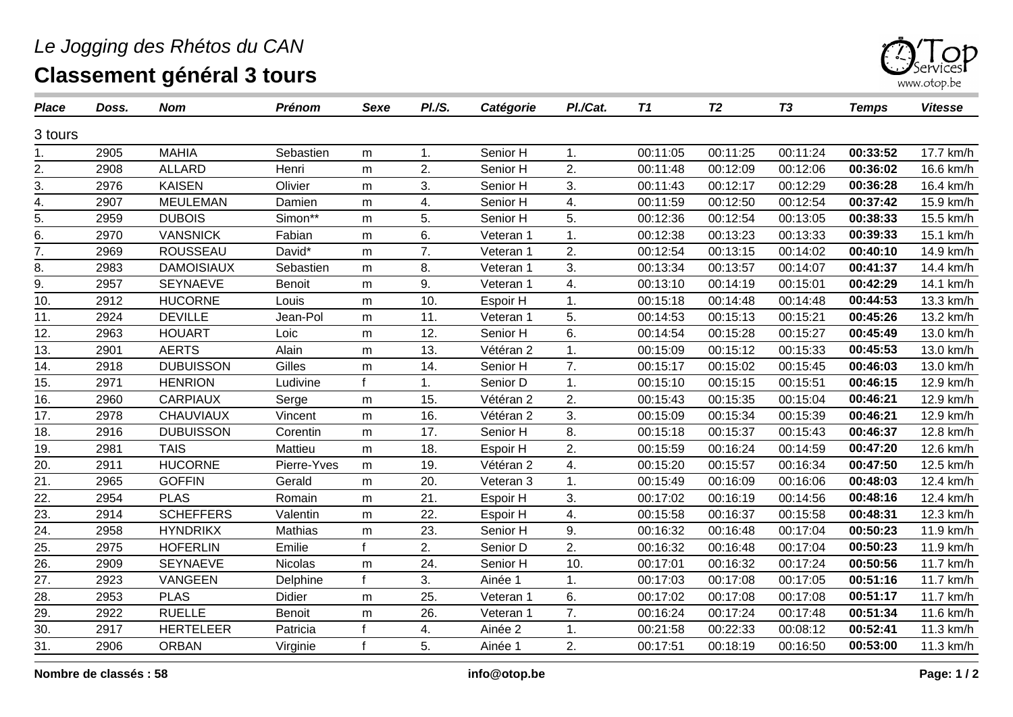

| <b>Place</b> | Doss. | <b>Nom</b>        | <b>Prénom</b>  | Sexe         | PI./S.            | Catégorie | PI./Cat.       | T1       | T <sub>2</sub> | T3       | <b>Temps</b> | <b>Vitesse</b> |
|--------------|-------|-------------------|----------------|--------------|-------------------|-----------|----------------|----------|----------------|----------|--------------|----------------|
| 3 tours      |       |                   |                |              |                   |           |                |          |                |          |              |                |
| 1.           | 2905  | <b>MAHIA</b>      | Sebastien      | m            | 1.                | Senior H  | 1.             | 00:11:05 | 00:11:25       | 00:11:24 | 00:33:52     | 17.7 km/h      |
| 2.           | 2908  | <b>ALLARD</b>     | Henri          | m            | 2.                | Senior H  | 2.             | 00:11:48 | 00:12:09       | 00:12:06 | 00:36:02     | 16.6 km/h      |
| 3.           | 2976  | <b>KAISEN</b>     | Olivier        | m            | 3.                | Senior H  | 3.             | 00:11:43 | 00:12:17       | 00:12:29 | 00:36:28     | 16.4 km/h      |
| 4.           | 2907  | <b>MEULEMAN</b>   | Damien         | m            | 4.                | Senior H  | 4.             | 00:11:59 | 00:12:50       | 00:12:54 | 00:37:42     | 15.9 km/h      |
| 5.           | 2959  | <b>DUBOIS</b>     | Simon**        | m            | 5.                | Senior H  | 5.             | 00:12:36 | 00:12:54       | 00:13:05 | 00:38:33     | 15.5 km/h      |
| 6.           | 2970  | <b>VANSNICK</b>   | Fabian         | m            | 6.                | Veteran 1 | $\mathbf 1$ .  | 00:12:38 | 00:13:23       | 00:13:33 | 00:39:33     | 15.1 km/h      |
| 7.           | 2969  | <b>ROUSSEAU</b>   | David*         | m            | 7.                | Veteran 1 | 2.             | 00:12:54 | 00:13:15       | 00:14:02 | 00:40:10     | 14.9 km/h      |
| 8.           | 2983  | <b>DAMOISIAUX</b> | Sebastien      | ${\sf m}$    | 8.                | Veteran 1 | 3.             | 00:13:34 | 00:13:57       | 00:14:07 | 00:41:37     | 14.4 km/h      |
| 9.           | 2957  | <b>SEYNAEVE</b>   | <b>Benoit</b>  | m            | 9.                | Veteran 1 | 4.             | 00:13:10 | 00:14:19       | 00:15:01 | 00:42:29     | 14.1 km/h      |
| 10.          | 2912  | <b>HUCORNE</b>    | Louis          | m            | 10.               | Espoir H  | $\mathbf 1$ .  | 00:15:18 | 00:14:48       | 00:14:48 | 00:44:53     | 13.3 km/h      |
| 11.          | 2924  | <b>DEVILLE</b>    | Jean-Pol       | m            | 11.               | Veteran 1 | 5.             | 00:14:53 | 00:15:13       | 00:15:21 | 00:45:26     | 13.2 km/h      |
| 12.          | 2963  | <b>HOUART</b>     | Loic           | m            | 12.               | Senior H  | 6.             | 00:14:54 | 00:15:28       | 00:15:27 | 00:45:49     | 13.0 km/h      |
| 13.          | 2901  | <b>AERTS</b>      | Alain          | m            | 13.               | Vétéran 2 | 1.             | 00:15:09 | 00:15:12       | 00:15:33 | 00:45:53     | 13.0 km/h      |
| 14.          | 2918  | <b>DUBUISSON</b>  | Gilles         | m            | 14.               | Senior H  | 7.             | 00:15:17 | 00:15:02       | 00:15:45 | 00:46:03     | 13.0 km/h      |
| 15.          | 2971  | <b>HENRION</b>    | Ludivine       | f            | 1.                | Senior D  | 1.             | 00:15:10 | 00:15:15       | 00:15:51 | 00:46:15     | 12.9 km/h      |
| 16.          | 2960  | <b>CARPIAUX</b>   | Serge          | m            | 15.               | Vétéran 2 | 2.             | 00:15:43 | 00:15:35       | 00:15:04 | 00:46:21     | 12.9 km/h      |
| 17.          | 2978  | <b>CHAUVIAUX</b>  | Vincent        | m            | 16.               | Vétéran 2 | 3.             | 00:15:09 | 00:15:34       | 00:15:39 | 00:46:21     | 12.9 km/h      |
| 18.          | 2916  | <b>DUBUISSON</b>  | Corentin       | ${\sf m}$    | 17.               | Senior H  | 8.             | 00:15:18 | 00:15:37       | 00:15:43 | 00:46:37     | 12.8 km/h      |
| 19.          | 2981  | <b>TAIS</b>       | Mattieu        | m            | 18.               | Espoir H  | 2.             | 00:15:59 | 00:16:24       | 00:14:59 | 00:47:20     | 12.6 km/h      |
| 20.          | 2911  | <b>HUCORNE</b>    | Pierre-Yves    | ${\sf m}$    | 19.               | Vétéran 2 | 4.             | 00:15:20 | 00:15:57       | 00:16:34 | 00:47:50     | 12.5 km/h      |
| 21.          | 2965  | <b>GOFFIN</b>     | Gerald         | m            | 20.               | Veteran 3 | 1.             | 00:15:49 | 00:16:09       | 00:16:06 | 00:48:03     | 12.4 km/h      |
| 22.          | 2954  | <b>PLAS</b>       | Romain         | m            | 21.               | Espoir H  | 3.             | 00:17:02 | 00:16:19       | 00:14:56 | 00:48:16     | 12.4 km/h      |
| 23.          | 2914  | <b>SCHEFFERS</b>  | Valentin       | m            | 22.               | Espoir H  | 4.             | 00:15:58 | 00:16:37       | 00:15:58 | 00:48:31     | 12.3 km/h      |
| 24.          | 2958  | <b>HYNDRIKX</b>   | Mathias        | m            | 23.               | Senior H  | 9.             | 00:16:32 | 00:16:48       | 00:17:04 | 00:50:23     | 11.9 km/h      |
| 25.          | 2975  | <b>HOFERLIN</b>   | Emilie         | f            | 2.                | Senior D  | 2.             | 00:16:32 | 00:16:48       | 00:17:04 | 00:50:23     | 11.9 km/h      |
| 26.          | 2909  | <b>SEYNAEVE</b>   | <b>Nicolas</b> | m            | 24.               | Senior H  | 10.            | 00:17:01 | 00:16:32       | 00:17:24 | 00:50:56     | 11.7 km/h      |
| 27.          | 2923  | VANGEEN           | Delphine       | f            | 3.                | Ainée 1   | 1.             | 00:17:03 | 00:17:08       | 00:17:05 | 00:51:16     | 11.7 km/h      |
| 28.          | 2953  | <b>PLAS</b>       | Didier         | m            | $\overline{25}$ . | Veteran 1 | 6.             | 00:17:02 | 00:17:08       | 00:17:08 | 00:51:17     | 11.7 km/h      |
| 29.          | 2922  | <b>RUELLE</b>     | Benoit         | m            | 26.               | Veteran 1 | 7.             | 00:16:24 | 00:17:24       | 00:17:48 | 00:51:34     | 11.6 km/h      |
| 30.          | 2917  | <b>HERTELEER</b>  | Patricia       | $\mathbf{f}$ | 4.                | Ainée 2   | $\mathbf{1}$ . | 00:21:58 | 00:22:33       | 00:08:12 | 00:52:41     | 11.3 km/h      |
| 31.          | 2906  | <b>ORBAN</b>      | Virginie       | f            | 5.                | Ainée 1   | 2.             | 00:17:51 | 00:18:19       | 00:16:50 | 00:53:00     | 11.3 km/h      |